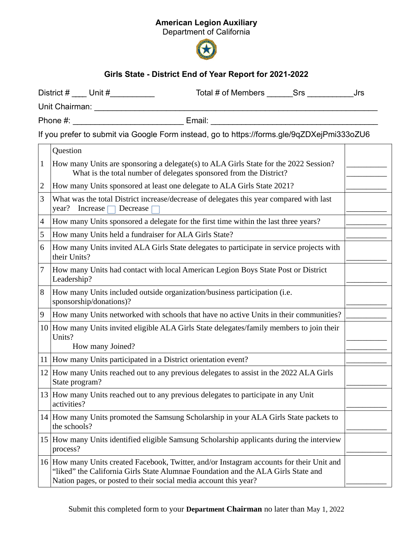## American Legion Auxiliary

Department of California



## Girls State - District End of Year Report for 2021-2022

|                                                                                            | Total # of Members _______Srs __________                                                                                                                                                                                                        | Jrs |  |  |
|--------------------------------------------------------------------------------------------|-------------------------------------------------------------------------------------------------------------------------------------------------------------------------------------------------------------------------------------------------|-----|--|--|
|                                                                                            |                                                                                                                                                                                                                                                 |     |  |  |
|                                                                                            |                                                                                                                                                                                                                                                 |     |  |  |
| If you prefer to submit via Google Form instead, go to https://forms.gle/9qZDXejPmi333oZU6 |                                                                                                                                                                                                                                                 |     |  |  |
|                                                                                            | Question                                                                                                                                                                                                                                        |     |  |  |
| $\mathbf{1}$                                                                               | How many Units are sponsoring a delegate(s) to ALA Girls State for the 2022 Session?<br>What is the total number of delegates sponsored from the District?                                                                                      |     |  |  |
| 2                                                                                          | How many Units sponsored at least one delegate to ALA Girls State 2021?                                                                                                                                                                         |     |  |  |
| 3                                                                                          | What was the total District increase/decrease of delegates this year compared with last<br>year?<br>Increase<br>Decrease                                                                                                                        |     |  |  |
| $\overline{4}$                                                                             | How many Units sponsored a delegate for the first time within the last three years?                                                                                                                                                             |     |  |  |
| 5                                                                                          | How many Units held a fundraiser for ALA Girls State?                                                                                                                                                                                           |     |  |  |
| 6                                                                                          | How many Units invited ALA Girls State delegates to participate in service projects with<br>their Units?                                                                                                                                        |     |  |  |
| 7                                                                                          | How many Units had contact with local American Legion Boys State Post or District<br>Leadership?                                                                                                                                                |     |  |  |
| 8                                                                                          | How many Units included outside organization/business participation (i.e.<br>sponsorship/donations)?                                                                                                                                            |     |  |  |
| 9                                                                                          | How many Units networked with schools that have no active Units in their communities?                                                                                                                                                           |     |  |  |
| 10                                                                                         | How many Units invited eligible ALA Girls State delegates/family members to join their<br>Units?<br>How many Joined?                                                                                                                            |     |  |  |
|                                                                                            | 11 How many Units participated in a District orientation event?                                                                                                                                                                                 |     |  |  |
|                                                                                            | 12 How many Units reached out to any previous delegates to assist in the 2022 ALA Girls<br>State program?                                                                                                                                       |     |  |  |
|                                                                                            | 13 How many Units reached out to any previous delegates to participate in any Unit<br>activities?                                                                                                                                               |     |  |  |
|                                                                                            | 14 How many Units promoted the Samsung Scholarship in your ALA Girls State packets to<br>the schools?                                                                                                                                           |     |  |  |
| 15 <sup>1</sup>                                                                            | How many Units identified eligible Samsung Scholarship applicants during the interview<br>process?                                                                                                                                              |     |  |  |
| 16                                                                                         | How many Units created Facebook, Twitter, and/or Instagram accounts for their Unit and<br>"liked" the California Girls State Alumnae Foundation and the ALA Girls State and<br>Nation pages, or posted to their social media account this year? |     |  |  |